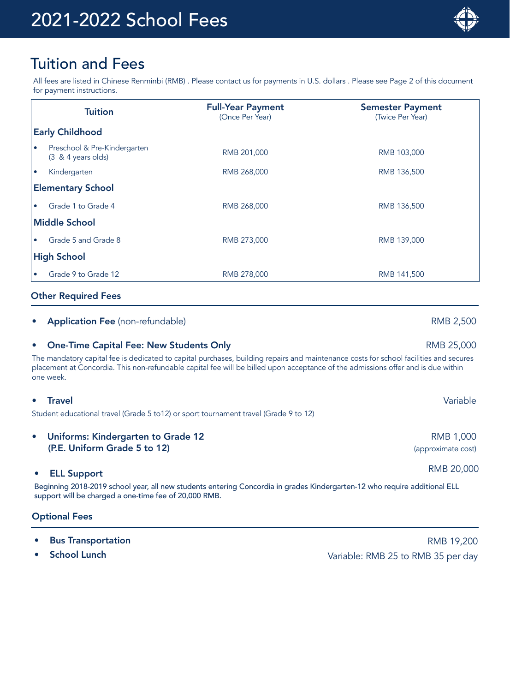

# Tuition and Fees

All fees are listed in Chinese Renminbi (RMB) . Please contact us for payments in U.S. dollars . Please see Page 2 of this document for payment instructions.

|                          | <b>Tuition</b>                                                | <b>Full-Year Payment</b><br>(Once Per Year) | <b>Semester Payment</b><br>(Twice Per Year) |  |
|--------------------------|---------------------------------------------------------------|---------------------------------------------|---------------------------------------------|--|
| <b>Early Childhood</b>   |                                                               |                                             |                                             |  |
| ۰                        | Preschool & Pre-Kindergarten<br>$(3 \& 4 \text{ years}$ olds) | RMB 201,000                                 | RMB 103,000                                 |  |
| $\bullet$                | Kindergarten                                                  | RMB 268,000                                 | RMB 136,500                                 |  |
| <b>Elementary School</b> |                                                               |                                             |                                             |  |
|                          | Grade 1 to Grade 4                                            | RMB 268,000                                 | RMB 136,500                                 |  |
| <b>Middle School</b>     |                                                               |                                             |                                             |  |
| $\bullet$                | Grade 5 and Grade 8                                           | RMB 273,000                                 | RMB 139,000                                 |  |
| <b>High School</b>       |                                                               |                                             |                                             |  |
| $\bullet$                | Grade 9 to Grade 12                                           | RMB 278,000                                 | RMB 141,500                                 |  |

# Other Required Fees

# **Application Fee** (non-refundable) **RMB 2,500 RMB 2,500**

# **One-Time Capital Fee: New Students Only American Control Control Control Control Control Control Control Control Control Control Control Control Control Control Control Control Control Control Control Control Control Cont**

The mandatory capital fee is dedicated to capital purchases, building repairs and maintenance costs for school facilities and secures placement at Concordia. This non-refundable capital fee will be billed upon acceptance of the admissions offer and is due within one week.

# • Travel Variable

Student educational travel (Grade 5 to12) or sport tournament travel (Grade 9 to 12)

Uniforms: Kindergarten to Grade 12 (P.E. Uniform Grade 5 to 12)

# • ELL Support RMB 20,000

Beginning 2018-2019 school year, all new students entering Concordia in grades Kindergarten-12 who require additional ELL support will be charged a one-time fee of 20,000 RMB.

# Optional Fees

- 
- 

**Proportation RMB 19,200** RMB 19,200 **School Lunch Compared Compared Compared Compared Compared Compared Variable: RMB 25 to RMB 35 per day** 

RMB 1,000 (approximate cost)